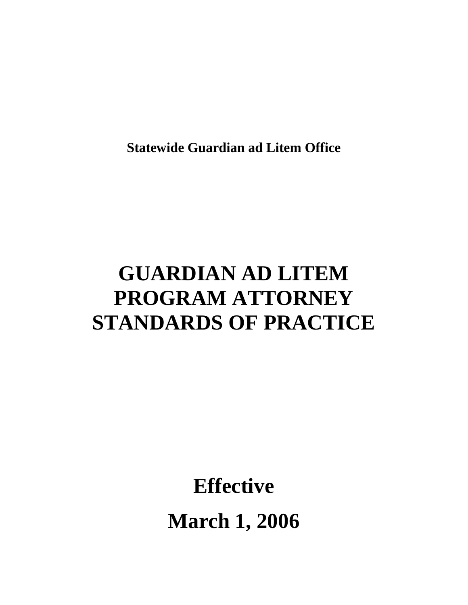**Statewide Guardian ad Litem Office** 

# **GUARDIAN AD LITEM PROGRAM ATTORNEY STANDARDS OF PRACTICE**

**Effective March 1, 2006**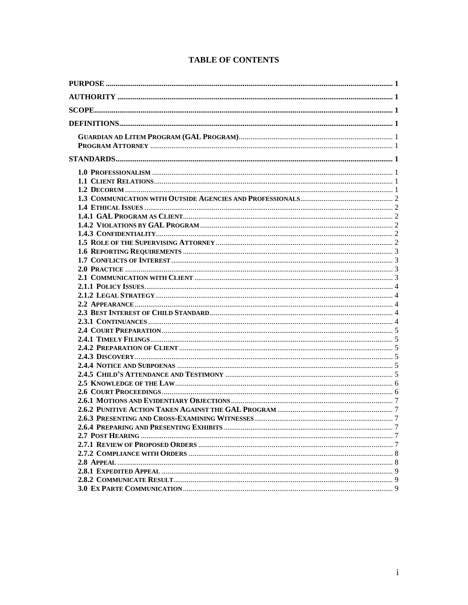| 2.8 APPEAL 3.3 |  |
|----------------|--|
|                |  |
|                |  |
|                |  |

# **TABLE OF CONTENTS**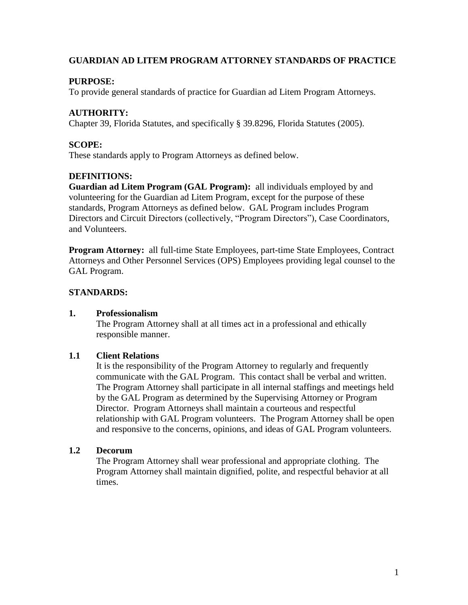# **GUARDIAN AD LITEM PROGRAM ATTORNEY STANDARDS OF PRACTICE**

## **PURPOSE:**

To provide general standards of practice for Guardian ad Litem Program Attorneys.

## **AUTHORITY:**

Chapter 39, Florida Statutes, and specifically § 39.8296, Florida Statutes (2005).

#### **SCOPE:**

These standards apply to Program Attorneys as defined below.

# **DEFINITIONS:**

**Guardian ad Litem Program (GAL Program):** all individuals employed by and volunteering for the Guardian ad Litem Program, except for the purpose of these standards, Program Attorneys as defined below. GAL Program includes Program Directors and Circuit Directors (collectively, "Program Directors"), Case Coordinators, and Volunteers.

**Program Attorney:** all full-time State Employees, part-time State Employees, Contract Attorneys and Other Personnel Services (OPS) Employees providing legal counsel to the GAL Program.

## **STANDARDS:**

#### **1. Professionalism**

The Program Attorney shall at all times act in a professional and ethically responsible manner.

#### **1.1 Client Relations**

It is the responsibility of the Program Attorney to regularly and frequently communicate with the GAL Program. This contact shall be verbal and written. The Program Attorney shall participate in all internal staffings and meetings held by the GAL Program as determined by the Supervising Attorney or Program Director. Program Attorneys shall maintain a courteous and respectful relationship with GAL Program volunteers. The Program Attorney shall be open and responsive to the concerns, opinions, and ideas of GAL Program volunteers.

#### **1.2 Decorum**

The Program Attorney shall wear professional and appropriate clothing. The Program Attorney shall maintain dignified, polite, and respectful behavior at all times.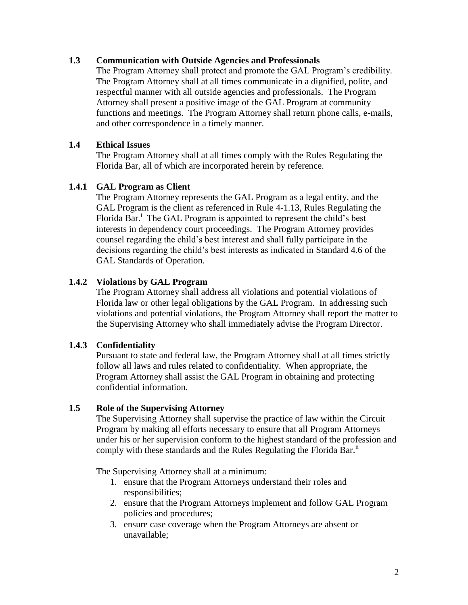## **1.3 Communication with Outside Agencies and Professionals**

The Program Attorney shall protect and promote the GAL Program's credibility. The Program Attorney shall at all times communicate in a dignified, polite, and respectful manner with all outside agencies and professionals. The Program Attorney shall present a positive image of the GAL Program at community functions and meetings. The Program Attorney shall return phone calls, e-mails, and other correspondence in a timely manner.

## **1.4 Ethical Issues**

The Program Attorney shall at all times comply with the Rules Regulating the Florida Bar, all of which are incorporated herein by reference.

## **1.4.1 GAL Program as Client**

The Program Attorney represents the GAL Program as a legal entity, and the GAL Program is the client as referenced in Rule 4-1.13, Rules Regulating the Florida Bar.<sup>i</sup> The GAL Program is appointed to represent the child's best interests in dependency court proceedings. The Program Attorney provides counsel regarding the child's best interest and shall fully participate in the decisions regarding the child's best interests as indicated in Standard 4.6 of the GAL Standards of Operation.

## **1.4.2 Violations by GAL Program**

The Program Attorney shall address all violations and potential violations of Florida law or other legal obligations by the GAL Program. In addressing such violations and potential violations, the Program Attorney shall report the matter to the Supervising Attorney who shall immediately advise the Program Director.

#### **1.4.3 Confidentiality**

Pursuant to state and federal law, the Program Attorney shall at all times strictly follow all laws and rules related to confidentiality. When appropriate, the Program Attorney shall assist the GAL Program in obtaining and protecting confidential information.

## **1.5 Role of the Supervising Attorney**

The Supervising Attorney shall supervise the practice of law within the Circuit Program by making all efforts necessary to ensure that all Program Attorneys under his or her supervision conform to the highest standard of the profession and comply with these standards and the Rules Regulating the Florida Bar.<sup>ii</sup>

The Supervising Attorney shall at a minimum:

- 1. ensure that the Program Attorneys understand their roles and responsibilities;
- 2. ensure that the Program Attorneys implement and follow GAL Program policies and procedures;
- 3. ensure case coverage when the Program Attorneys are absent or unavailable;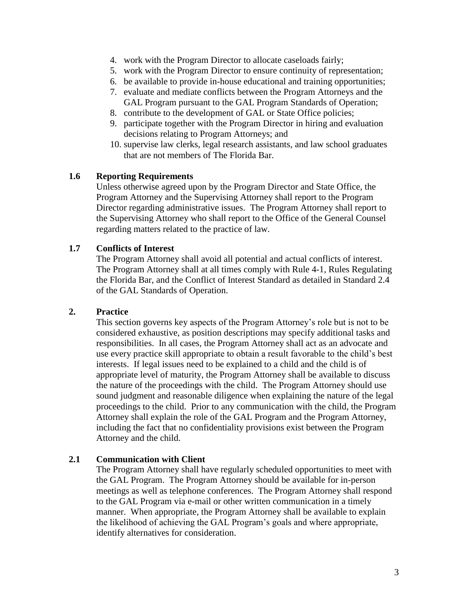- 4. work with the Program Director to allocate caseloads fairly;
- 5. work with the Program Director to ensure continuity of representation;
- 6. be available to provide in-house educational and training opportunities;
- 7. evaluate and mediate conflicts between the Program Attorneys and the GAL Program pursuant to the GAL Program Standards of Operation;
- 8. contribute to the development of GAL or State Office policies;
- 9. participate together with the Program Director in hiring and evaluation decisions relating to Program Attorneys; and
- 10. supervise law clerks, legal research assistants, and law school graduates that are not members of The Florida Bar.

## **1.6 Reporting Requirements**

Unless otherwise agreed upon by the Program Director and State Office, the Program Attorney and the Supervising Attorney shall report to the Program Director regarding administrative issues. The Program Attorney shall report to the Supervising Attorney who shall report to the Office of the General Counsel regarding matters related to the practice of law.

## **1.7 Conflicts of Interest**

The Program Attorney shall avoid all potential and actual conflicts of interest. The Program Attorney shall at all times comply with Rule 4-1, Rules Regulating the Florida Bar, and the Conflict of Interest Standard as detailed in Standard 2.4 of the GAL Standards of Operation.

#### **2. Practice**

This section governs key aspects of the Program Attorney's role but is not to be considered exhaustive, as position descriptions may specify additional tasks and responsibilities. In all cases, the Program Attorney shall act as an advocate and use every practice skill appropriate to obtain a result favorable to the child's best interests. If legal issues need to be explained to a child and the child is of appropriate level of maturity, the Program Attorney shall be available to discuss the nature of the proceedings with the child. The Program Attorney should use sound judgment and reasonable diligence when explaining the nature of the legal proceedings to the child. Prior to any communication with the child, the Program Attorney shall explain the role of the GAL Program and the Program Attorney, including the fact that no confidentiality provisions exist between the Program Attorney and the child.

# **2.1 Communication with Client**

The Program Attorney shall have regularly scheduled opportunities to meet with the GAL Program. The Program Attorney should be available for in-person meetings as well as telephone conferences. The Program Attorney shall respond to the GAL Program via e-mail or other written communication in a timely manner. When appropriate, the Program Attorney shall be available to explain the likelihood of achieving the GAL Program's goals and where appropriate, identify alternatives for consideration.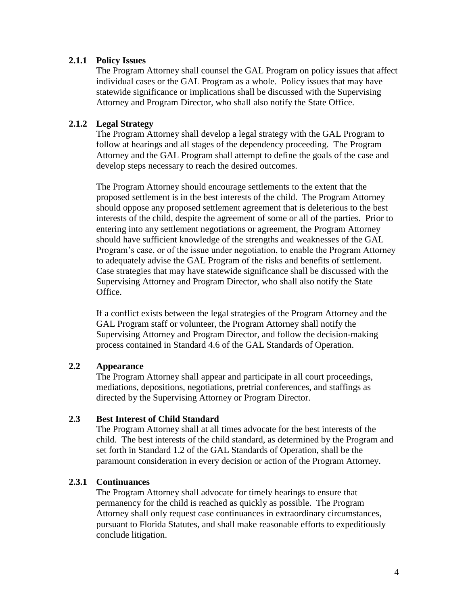## **2.1.1 Policy Issues**

The Program Attorney shall counsel the GAL Program on policy issues that affect individual cases or the GAL Program as a whole. Policy issues that may have statewide significance or implications shall be discussed with the Supervising Attorney and Program Director, who shall also notify the State Office.

## **2.1.2 Legal Strategy**

The Program Attorney shall develop a legal strategy with the GAL Program to follow at hearings and all stages of the dependency proceeding. The Program Attorney and the GAL Program shall attempt to define the goals of the case and develop steps necessary to reach the desired outcomes.

The Program Attorney should encourage settlements to the extent that the proposed settlement is in the best interests of the child. The Program Attorney should oppose any proposed settlement agreement that is deleterious to the best interests of the child, despite the agreement of some or all of the parties. Prior to entering into any settlement negotiations or agreement, the Program Attorney should have sufficient knowledge of the strengths and weaknesses of the GAL Program's case, or of the issue under negotiation, to enable the Program Attorney to adequately advise the GAL Program of the risks and benefits of settlement. Case strategies that may have statewide significance shall be discussed with the Supervising Attorney and Program Director, who shall also notify the State Office.

If a conflict exists between the legal strategies of the Program Attorney and the GAL Program staff or volunteer, the Program Attorney shall notify the Supervising Attorney and Program Director, and follow the decision-making process contained in Standard 4.6 of the GAL Standards of Operation.

# **2.2 Appearance**

The Program Attorney shall appear and participate in all court proceedings, mediations, depositions, negotiations, pretrial conferences, and staffings as directed by the Supervising Attorney or Program Director.

#### **2.3 Best Interest of Child Standard**

The Program Attorney shall at all times advocate for the best interests of the child. The best interests of the child standard, as determined by the Program and set forth in Standard 1.2 of the GAL Standards of Operation, shall be the paramount consideration in every decision or action of the Program Attorney.

#### **2.3.1 Continuances**

The Program Attorney shall advocate for timely hearings to ensure that permanency for the child is reached as quickly as possible. The Program Attorney shall only request case continuances in extraordinary circumstances, pursuant to Florida Statutes, and shall make reasonable efforts to expeditiously conclude litigation.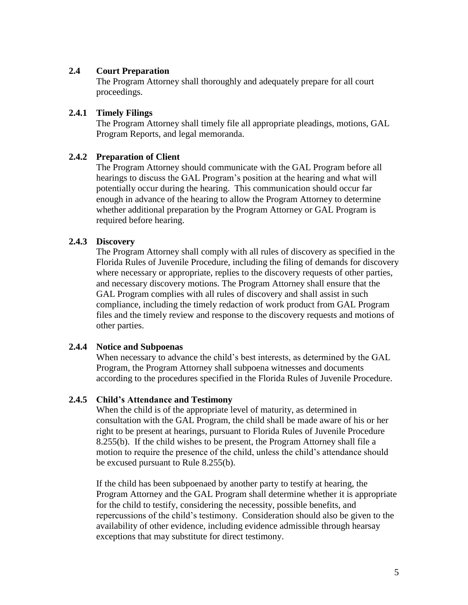## **2.4 Court Preparation**

The Program Attorney shall thoroughly and adequately prepare for all court proceedings.

## **2.4.1 Timely Filings**

The Program Attorney shall timely file all appropriate pleadings, motions, GAL Program Reports, and legal memoranda.

## **2.4.2 Preparation of Client**

The Program Attorney should communicate with the GAL Program before all hearings to discuss the GAL Program's position at the hearing and what will potentially occur during the hearing. This communication should occur far enough in advance of the hearing to allow the Program Attorney to determine whether additional preparation by the Program Attorney or GAL Program is required before hearing.

## **2.4.3 Discovery**

The Program Attorney shall comply with all rules of discovery as specified in the Florida Rules of Juvenile Procedure, including the filing of demands for discovery where necessary or appropriate, replies to the discovery requests of other parties, and necessary discovery motions. The Program Attorney shall ensure that the GAL Program complies with all rules of discovery and shall assist in such compliance, including the timely redaction of work product from GAL Program files and the timely review and response to the discovery requests and motions of other parties.

#### **2.4.4 Notice and Subpoenas**

When necessary to advance the child's best interests, as determined by the GAL Program, the Program Attorney shall subpoena witnesses and documents according to the procedures specified in the Florida Rules of Juvenile Procedure.

#### **2.4.5 Child's Attendance and Testimony**

When the child is of the appropriate level of maturity, as determined in consultation with the GAL Program, the child shall be made aware of his or her right to be present at hearings, pursuant to Florida Rules of Juvenile Procedure 8.255(b). If the child wishes to be present, the Program Attorney shall file a motion to require the presence of the child, unless the child's attendance should be excused pursuant to Rule 8.255(b).

If the child has been subpoenaed by another party to testify at hearing, the Program Attorney and the GAL Program shall determine whether it is appropriate for the child to testify, considering the necessity, possible benefits, and repercussions of the child's testimony. Consideration should also be given to the availability of other evidence, including evidence admissible through hearsay exceptions that may substitute for direct testimony.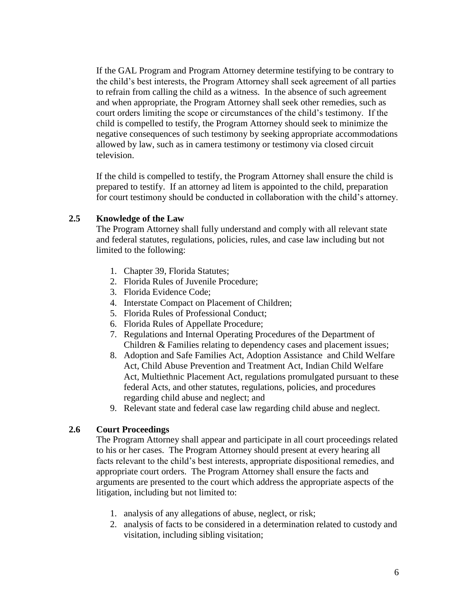If the GAL Program and Program Attorney determine testifying to be contrary to the child's best interests, the Program Attorney shall seek agreement of all parties to refrain from calling the child as a witness. In the absence of such agreement and when appropriate, the Program Attorney shall seek other remedies, such as court orders limiting the scope or circumstances of the child's testimony. If the child is compelled to testify, the Program Attorney should seek to minimize the negative consequences of such testimony by seeking appropriate accommodations allowed by law, such as in camera testimony or testimony via closed circuit television.

If the child is compelled to testify, the Program Attorney shall ensure the child is prepared to testify. If an attorney ad litem is appointed to the child, preparation for court testimony should be conducted in collaboration with the child's attorney.

## **2.5 Knowledge of the Law**

The Program Attorney shall fully understand and comply with all relevant state and federal statutes, regulations, policies, rules, and case law including but not limited to the following:

- 1. Chapter 39, Florida Statutes;
- 2. Florida Rules of Juvenile Procedure;
- 3. Florida Evidence Code;
- 4. Interstate Compact on Placement of Children;
- 5. Florida Rules of Professional Conduct;
- 6. Florida Rules of Appellate Procedure;
- 7. Regulations and Internal Operating Procedures of the Department of Children & Families relating to dependency cases and placement issues;
- 8. Adoption and Safe Families Act, Adoption Assistance and Child Welfare Act, Child Abuse Prevention and Treatment Act, Indian Child Welfare Act, Multiethnic Placement Act, regulations promulgated pursuant to these federal Acts, and other statutes, regulations, policies, and procedures regarding child abuse and neglect; and
- 9. Relevant state and federal case law regarding child abuse and neglect.

# **2.6 Court Proceedings**

The Program Attorney shall appear and participate in all court proceedings related to his or her cases. The Program Attorney should present at every hearing all facts relevant to the child's best interests, appropriate dispositional remedies, and appropriate court orders. The Program Attorney shall ensure the facts and arguments are presented to the court which address the appropriate aspects of the litigation, including but not limited to:

- 1. analysis of any allegations of abuse, neglect, or risk;
- 2. analysis of facts to be considered in a determination related to custody and visitation, including sibling visitation;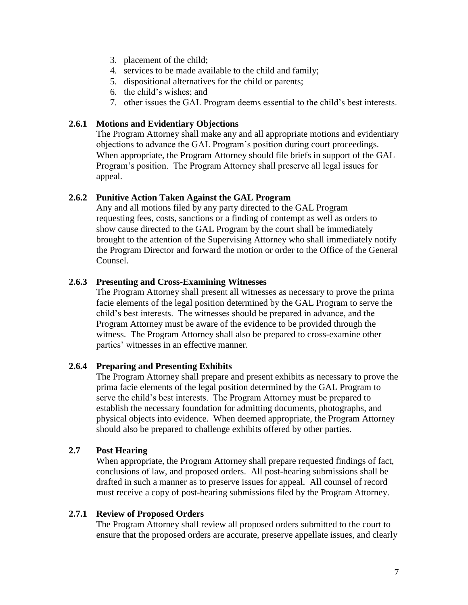- 3. placement of the child;
- 4. services to be made available to the child and family;
- 5. dispositional alternatives for the child or parents;
- 6. the child's wishes; and
- 7. other issues the GAL Program deems essential to the child's best interests.

# **2.6.1 Motions and Evidentiary Objections**

The Program Attorney shall make any and all appropriate motions and evidentiary objections to advance the GAL Program's position during court proceedings. When appropriate, the Program Attorney should file briefs in support of the GAL Program's position. The Program Attorney shall preserve all legal issues for appeal.

# **2.6.2 Punitive Action Taken Against the GAL Program**

Any and all motions filed by any party directed to the GAL Program requesting fees, costs, sanctions or a finding of contempt as well as orders to show cause directed to the GAL Program by the court shall be immediately brought to the attention of the Supervising Attorney who shall immediately notify the Program Director and forward the motion or order to the Office of the General Counsel.

# **2.6.3 Presenting and Cross-Examining Witnesses**

The Program Attorney shall present all witnesses as necessary to prove the prima facie elements of the legal position determined by the GAL Program to serve the child's best interests. The witnesses should be prepared in advance, and the Program Attorney must be aware of the evidence to be provided through the witness. The Program Attorney shall also be prepared to cross-examine other parties' witnesses in an effective manner.

# **2.6.4 Preparing and Presenting Exhibits**

The Program Attorney shall prepare and present exhibits as necessary to prove the prima facie elements of the legal position determined by the GAL Program to serve the child's best interests. The Program Attorney must be prepared to establish the necessary foundation for admitting documents, photographs, and physical objects into evidence. When deemed appropriate, the Program Attorney should also be prepared to challenge exhibits offered by other parties.

# **2.7 Post Hearing**

When appropriate, the Program Attorney shall prepare requested findings of fact, conclusions of law, and proposed orders. All post-hearing submissions shall be drafted in such a manner as to preserve issues for appeal. All counsel of record must receive a copy of post-hearing submissions filed by the Program Attorney.

# **2.7.1 Review of Proposed Orders**

The Program Attorney shall review all proposed orders submitted to the court to ensure that the proposed orders are accurate, preserve appellate issues, and clearly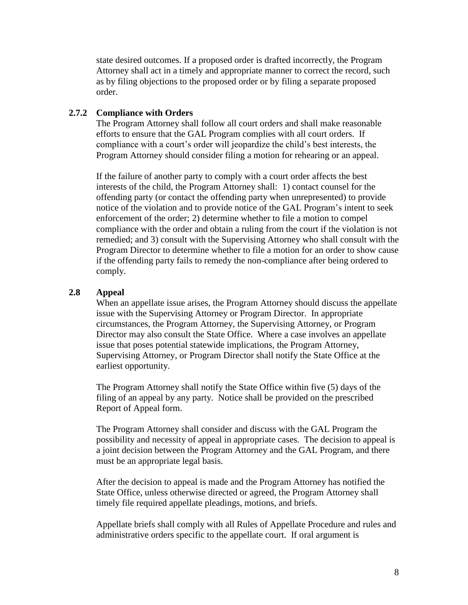state desired outcomes. If a proposed order is drafted incorrectly, the Program Attorney shall act in a timely and appropriate manner to correct the record, such as by filing objections to the proposed order or by filing a separate proposed order.

## **2.7.2 Compliance with Orders**

The Program Attorney shall follow all court orders and shall make reasonable efforts to ensure that the GAL Program complies with all court orders. If compliance with a court's order will jeopardize the child's best interests, the Program Attorney should consider filing a motion for rehearing or an appeal.

If the failure of another party to comply with a court order affects the best interests of the child, the Program Attorney shall: 1) contact counsel for the offending party (or contact the offending party when unrepresented) to provide notice of the violation and to provide notice of the GAL Program's intent to seek enforcement of the order; 2) determine whether to file a motion to compel compliance with the order and obtain a ruling from the court if the violation is not remedied; and 3) consult with the Supervising Attorney who shall consult with the Program Director to determine whether to file a motion for an order to show cause if the offending party fails to remedy the non-compliance after being ordered to comply.

## **2.8 Appeal**

When an appellate issue arises, the Program Attorney should discuss the appellate issue with the Supervising Attorney or Program Director. In appropriate circumstances, the Program Attorney, the Supervising Attorney, or Program Director may also consult the State Office. Where a case involves an appellate issue that poses potential statewide implications, the Program Attorney, Supervising Attorney, or Program Director shall notify the State Office at the earliest opportunity.

The Program Attorney shall notify the State Office within five (5) days of the filing of an appeal by any party. Notice shall be provided on the prescribed Report of Appeal form.

The Program Attorney shall consider and discuss with the GAL Program the possibility and necessity of appeal in appropriate cases. The decision to appeal is a joint decision between the Program Attorney and the GAL Program, and there must be an appropriate legal basis.

After the decision to appeal is made and the Program Attorney has notified the State Office, unless otherwise directed or agreed, the Program Attorney shall timely file required appellate pleadings, motions, and briefs.

Appellate briefs shall comply with all Rules of Appellate Procedure and rules and administrative orders specific to the appellate court. If oral argument is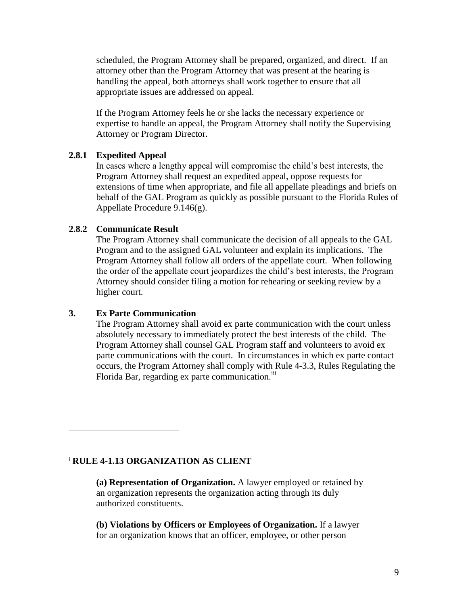scheduled, the Program Attorney shall be prepared, organized, and direct. If an attorney other than the Program Attorney that was present at the hearing is handling the appeal, both attorneys shall work together to ensure that all appropriate issues are addressed on appeal.

If the Program Attorney feels he or she lacks the necessary experience or expertise to handle an appeal, the Program Attorney shall notify the Supervising Attorney or Program Director.

#### **2.8.1 Expedited Appeal**

In cases where a lengthy appeal will compromise the child's best interests, the Program Attorney shall request an expedited appeal, oppose requests for extensions of time when appropriate, and file all appellate pleadings and briefs on behalf of the GAL Program as quickly as possible pursuant to the Florida Rules of Appellate Procedure 9.146(g).

#### **2.8.2 Communicate Result**

The Program Attorney shall communicate the decision of all appeals to the GAL Program and to the assigned GAL volunteer and explain its implications. The Program Attorney shall follow all orders of the appellate court. When following the order of the appellate court jeopardizes the child's best interests, the Program Attorney should consider filing a motion for rehearing or seeking review by a higher court.

#### **3. Ex Parte Communication**

 $\overline{a}$ 

The Program Attorney shall avoid ex parte communication with the court unless absolutely necessary to immediately protect the best interests of the child. The Program Attorney shall counsel GAL Program staff and volunteers to avoid ex parte communications with the court. In circumstances in which ex parte contact occurs, the Program Attorney shall comply with Rule 4-3.3, Rules Regulating the Florida Bar, regarding ex parte communication.<sup>iii</sup>

#### <sup>i</sup> **RULE 4-1.13 ORGANIZATION AS CLIENT**

**(a) Representation of Organization.** A lawyer employed or retained by an organization represents the organization acting through its duly authorized constituents.

**(b) Violations by Officers or Employees of Organization.** If a lawyer for an organization knows that an officer, employee, or other person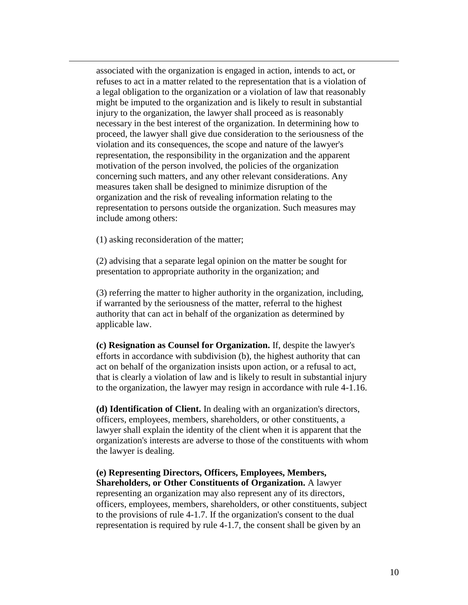associated with the organization is engaged in action, intends to act, or refuses to act in a matter related to the representation that is a violation of a legal obligation to the organization or a violation of law that reasonably might be imputed to the organization and is likely to result in substantial injury to the organization, the lawyer shall proceed as is reasonably necessary in the best interest of the organization. In determining how to proceed, the lawyer shall give due consideration to the seriousness of the violation and its consequences, the scope and nature of the lawyer's representation, the responsibility in the organization and the apparent motivation of the person involved, the policies of the organization concerning such matters, and any other relevant considerations. Any measures taken shall be designed to minimize disruption of the organization and the risk of revealing information relating to the representation to persons outside the organization. Such measures may include among others:

(1) asking reconsideration of the matter;

 $\overline{a}$ 

(2) advising that a separate legal opinion on the matter be sought for presentation to appropriate authority in the organization; and

(3) referring the matter to higher authority in the organization, including, if warranted by the seriousness of the matter, referral to the highest authority that can act in behalf of the organization as determined by applicable law.

**(c) Resignation as Counsel for Organization.** If, despite the lawyer's efforts in accordance with subdivision (b), the highest authority that can act on behalf of the organization insists upon action, or a refusal to act, that is clearly a violation of law and is likely to result in substantial injury to the organization, the lawyer may resign in accordance with rule 4-1.16.

**(d) Identification of Client.** In dealing with an organization's directors, officers, employees, members, shareholders, or other constituents, a lawyer shall explain the identity of the client when it is apparent that the organization's interests are adverse to those of the constituents with whom the lawyer is dealing.

**(e) Representing Directors, Officers, Employees, Members, Shareholders, or Other Constituents of Organization.** A lawyer representing an organization may also represent any of its directors, officers, employees, members, shareholders, or other constituents, subject to the provisions of rule 4-1.7. If the organization's consent to the dual representation is required by rule 4-1.7, the consent shall be given by an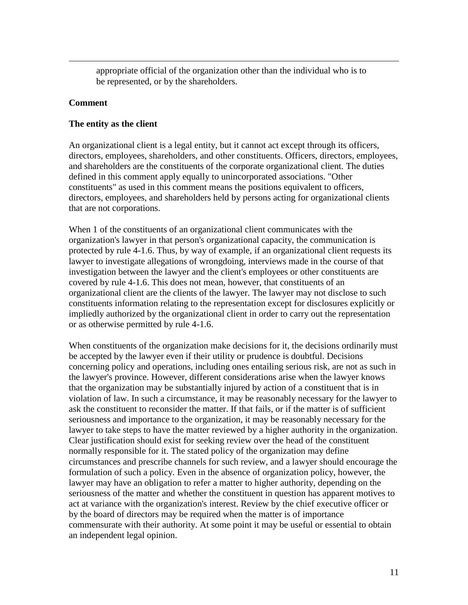appropriate official of the organization other than the individual who is to be represented, or by the shareholders.

#### **Comment**

 $\overline{a}$ 

#### **The entity as the client**

An organizational client is a legal entity, but it cannot act except through its officers, directors, employees, shareholders, and other constituents. Officers, directors, employees, and shareholders are the constituents of the corporate organizational client. The duties defined in this comment apply equally to unincorporated associations. "Other constituents" as used in this comment means the positions equivalent to officers, directors, employees, and shareholders held by persons acting for organizational clients that are not corporations.

When 1 of the constituents of an organizational client communicates with the organization's lawyer in that person's organizational capacity, the communication is protected by rule 4-1.6. Thus, by way of example, if an organizational client requests its lawyer to investigate allegations of wrongdoing, interviews made in the course of that investigation between the lawyer and the client's employees or other constituents are covered by rule 4-1.6. This does not mean, however, that constituents of an organizational client are the clients of the lawyer. The lawyer may not disclose to such constituents information relating to the representation except for disclosures explicitly or impliedly authorized by the organizational client in order to carry out the representation or as otherwise permitted by rule 4-1.6.

When constituents of the organization make decisions for it, the decisions ordinarily must be accepted by the lawyer even if their utility or prudence is doubtful. Decisions concerning policy and operations, including ones entailing serious risk, are not as such in the lawyer's province. However, different considerations arise when the lawyer knows that the organization may be substantially injured by action of a constituent that is in violation of law. In such a circumstance, it may be reasonably necessary for the lawyer to ask the constituent to reconsider the matter. If that fails, or if the matter is of sufficient seriousness and importance to the organization, it may be reasonably necessary for the lawyer to take steps to have the matter reviewed by a higher authority in the organization. Clear justification should exist for seeking review over the head of the constituent normally responsible for it. The stated policy of the organization may define circumstances and prescribe channels for such review, and a lawyer should encourage the formulation of such a policy. Even in the absence of organization policy, however, the lawyer may have an obligation to refer a matter to higher authority, depending on the seriousness of the matter and whether the constituent in question has apparent motives to act at variance with the organization's interest. Review by the chief executive officer or by the board of directors may be required when the matter is of importance commensurate with their authority. At some point it may be useful or essential to obtain an independent legal opinion.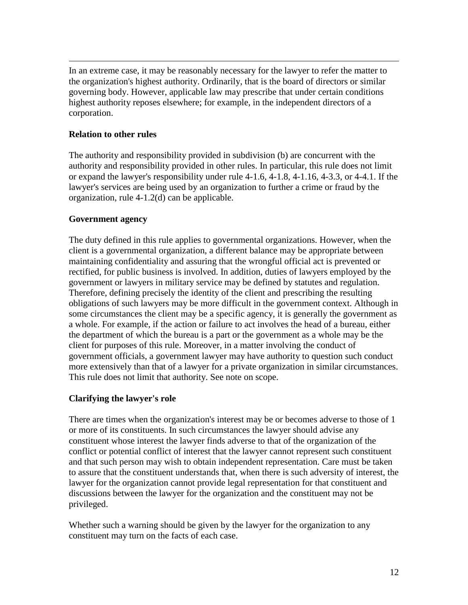In an extreme case, it may be reasonably necessary for the lawyer to refer the matter to the organization's highest authority. Ordinarily, that is the board of directors or similar governing body. However, applicable law may prescribe that under certain conditions highest authority reposes elsewhere; for example, in the independent directors of a corporation.

## **Relation to other rules**

 $\overline{a}$ 

The authority and responsibility provided in subdivision (b) are concurrent with the authority and responsibility provided in other rules. In particular, this rule does not limit or expand the lawyer's responsibility under rule 4-1.6, 4-1.8, 4-1.16, 4-3.3, or 4-4.1. If the lawyer's services are being used by an organization to further a crime or fraud by the organization, rule 4-1.2(d) can be applicable.

#### **Government agency**

The duty defined in this rule applies to governmental organizations. However, when the client is a governmental organization, a different balance may be appropriate between maintaining confidentiality and assuring that the wrongful official act is prevented or rectified, for public business is involved. In addition, duties of lawyers employed by the government or lawyers in military service may be defined by statutes and regulation. Therefore, defining precisely the identity of the client and prescribing the resulting obligations of such lawyers may be more difficult in the government context. Although in some circumstances the client may be a specific agency, it is generally the government as a whole. For example, if the action or failure to act involves the head of a bureau, either the department of which the bureau is a part or the government as a whole may be the client for purposes of this rule. Moreover, in a matter involving the conduct of government officials, a government lawyer may have authority to question such conduct more extensively than that of a lawyer for a private organization in similar circumstances. This rule does not limit that authority. See note on scope.

#### **Clarifying the lawyer's role**

There are times when the organization's interest may be or becomes adverse to those of 1 or more of its constituents. In such circumstances the lawyer should advise any constituent whose interest the lawyer finds adverse to that of the organization of the conflict or potential conflict of interest that the lawyer cannot represent such constituent and that such person may wish to obtain independent representation. Care must be taken to assure that the constituent understands that, when there is such adversity of interest, the lawyer for the organization cannot provide legal representation for that constituent and discussions between the lawyer for the organization and the constituent may not be privileged.

Whether such a warning should be given by the lawyer for the organization to any constituent may turn on the facts of each case.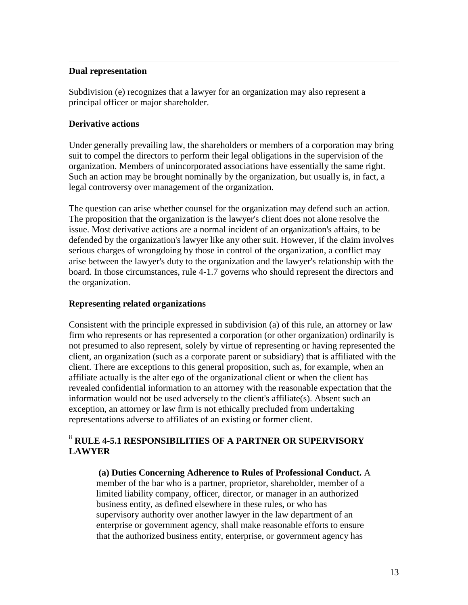#### **Dual representation**

 $\overline{a}$ 

Subdivision (e) recognizes that a lawyer for an organization may also represent a principal officer or major shareholder.

## **Derivative actions**

Under generally prevailing law, the shareholders or members of a corporation may bring suit to compel the directors to perform their legal obligations in the supervision of the organization. Members of unincorporated associations have essentially the same right. Such an action may be brought nominally by the organization, but usually is, in fact, a legal controversy over management of the organization.

The question can arise whether counsel for the organization may defend such an action. The proposition that the organization is the lawyer's client does not alone resolve the issue. Most derivative actions are a normal incident of an organization's affairs, to be defended by the organization's lawyer like any other suit. However, if the claim involves serious charges of wrongdoing by those in control of the organization, a conflict may arise between the lawyer's duty to the organization and the lawyer's relationship with the board. In those circumstances, rule 4-1.7 governs who should represent the directors and the organization.

#### **Representing related organizations**

Consistent with the principle expressed in subdivision (a) of this rule, an attorney or law firm who represents or has represented a corporation (or other organization) ordinarily is not presumed to also represent, solely by virtue of representing or having represented the client, an organization (such as a corporate parent or subsidiary) that is affiliated with the client. There are exceptions to this general proposition, such as, for example, when an affiliate actually is the alter ego of the organizational client or when the client has revealed confidential information to an attorney with the reasonable expectation that the information would not be used adversely to the client's affiliate(s). Absent such an exception, an attorney or law firm is not ethically precluded from undertaking representations adverse to affiliates of an existing or former client.

# ii **RULE 4-5.1 RESPONSIBILITIES OF A PARTNER OR SUPERVISORY LAWYER**

**(a) Duties Concerning Adherence to Rules of Professional Conduct.** A member of the bar who is a partner, proprietor, shareholder, member of a limited liability company, officer, director, or manager in an authorized business entity, as defined elsewhere in these rules, or who has supervisory authority over another lawyer in the law department of an enterprise or government agency, shall make reasonable efforts to ensure that the authorized business entity, enterprise, or government agency has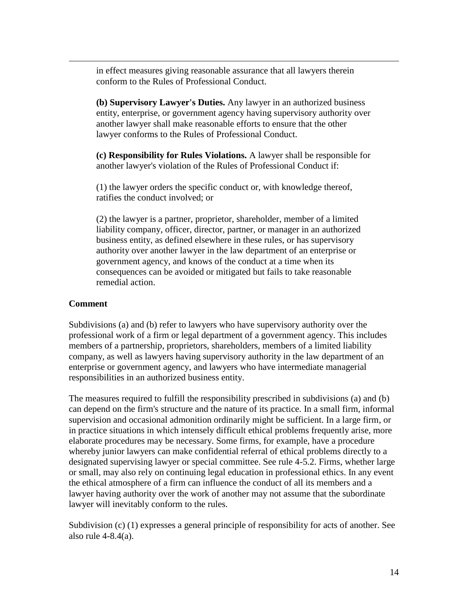in effect measures giving reasonable assurance that all lawyers therein conform to the Rules of Professional Conduct.

**(b) Supervisory Lawyer's Duties.** Any lawyer in an authorized business entity, enterprise, or government agency having supervisory authority over another lawyer shall make reasonable efforts to ensure that the other lawyer conforms to the Rules of Professional Conduct.

**(c) Responsibility for Rules Violations.** A lawyer shall be responsible for another lawyer's violation of the Rules of Professional Conduct if:

(1) the lawyer orders the specific conduct or, with knowledge thereof, ratifies the conduct involved; or

(2) the lawyer is a partner, proprietor, shareholder, member of a limited liability company, officer, director, partner, or manager in an authorized business entity, as defined elsewhere in these rules, or has supervisory authority over another lawyer in the law department of an enterprise or government agency, and knows of the conduct at a time when its consequences can be avoided or mitigated but fails to take reasonable remedial action.

#### **Comment**

 $\overline{a}$ 

Subdivisions (a) and (b) refer to lawyers who have supervisory authority over the professional work of a firm or legal department of a government agency. This includes members of a partnership, proprietors, shareholders, members of a limited liability company, as well as lawyers having supervisory authority in the law department of an enterprise or government agency, and lawyers who have intermediate managerial responsibilities in an authorized business entity.

The measures required to fulfill the responsibility prescribed in subdivisions (a) and (b) can depend on the firm's structure and the nature of its practice. In a small firm, informal supervision and occasional admonition ordinarily might be sufficient. In a large firm, or in practice situations in which intensely difficult ethical problems frequently arise, more elaborate procedures may be necessary. Some firms, for example, have a procedure whereby junior lawyers can make confidential referral of ethical problems directly to a designated supervising lawyer or special committee. See rule 4-5.2. Firms, whether large or small, may also rely on continuing legal education in professional ethics. In any event the ethical atmosphere of a firm can influence the conduct of all its members and a lawyer having authority over the work of another may not assume that the subordinate lawyer will inevitably conform to the rules.

Subdivision (c) (1) expresses a general principle of responsibility for acts of another. See also rule  $4-8.4(a)$ .